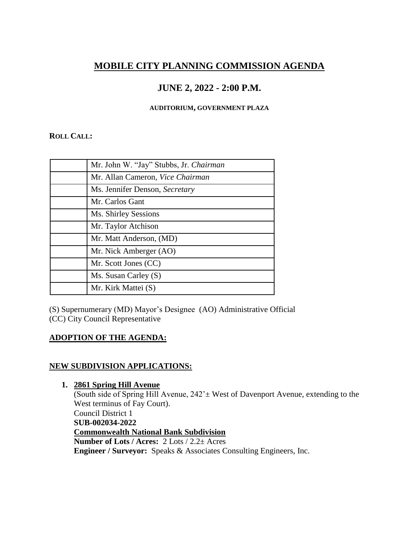# **MOBILE CITY PLANNING COMMISSION AGENDA**

## **JUNE 2, 2022 - 2:00 P.M.**

#### **AUDITORIUM, GOVERNMENT PLAZA**

#### **ROLL CALL:**

| Mr. John W. "Jay" Stubbs, Jr. Chairman |
|----------------------------------------|
| Mr. Allan Cameron, Vice Chairman       |
| Ms. Jennifer Denson, Secretary         |
| Mr. Carlos Gant                        |
| Ms. Shirley Sessions                   |
| Mr. Taylor Atchison                    |
| Mr. Matt Anderson, (MD)                |
| Mr. Nick Amberger (AO)                 |
| Mr. Scott Jones (CC)                   |
| Ms. Susan Carley (S)                   |
| Mr. Kirk Mattei (S)                    |

(S) Supernumerary (MD) Mayor's Designee (AO) Administrative Official (CC) City Council Representative

## **ADOPTION OF THE AGENDA:**

## **NEW SUBDIVISION APPLICATIONS:**

**1. 2861 Spring Hill Avenue** (South side of Spring Hill Avenue,  $242 \pm$  West of Davenport Avenue, extending to the West terminus of Fay Court). Council District 1 **SUB-002034-2022 Commonwealth National Bank Subdivision Number of Lots / Acres:** 2 Lots / 2.2± Acres **Engineer / Surveyor:** Speaks & Associates Consulting Engineers, Inc.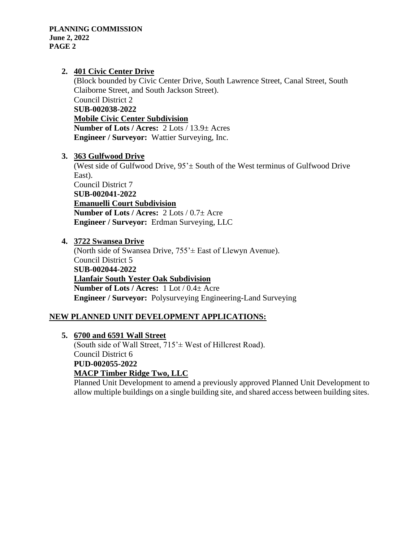#### **2. 401 Civic Center Drive**

(Block bounded by Civic Center Drive, South Lawrence Street, Canal Street, South Claiborne Street, and South Jackson Street). Council District 2 **SUB-002038-2022 Mobile Civic Center Subdivision Number of Lots / Acres:** 2 Lots / 13.9± Acres **Engineer / Surveyor:** Wattier Surveying, Inc.

#### **3. 363 Gulfwood Drive**

(West side of Gulfwood Drive,  $95^{\circ}$  South of the West terminus of Gulfwood Drive East). Council District 7

**SUB-002041-2022 Emanuelli Court Subdivision Number of Lots / Acres:** 2 Lots / 0.7± Acre **Engineer / Surveyor:** Erdman Surveying, LLC

#### **4. 3722 Swansea Drive**

(North side of Swansea Drive, 755'± East of Llewyn Avenue). Council District 5 **SUB-002044-2022 Llanfair South Yester Oak Subdivision Number of Lots / Acres:** 1 Lot / 0.4± Acre **Engineer / Surveyor:** Polysurveying Engineering-Land Surveying

## **NEW PLANNED UNIT DEVELOPMENT APPLICATIONS:**

**5. 6700 and 6591 Wall Street**

(South side of Wall Street,  $715<sup>2</sup>$  West of Hillcrest Road). Council District 6 **PUD-002055-2022 MACP Timber Ridge Two, LLC**

Planned Unit Development to amend a previously approved Planned Unit Development to allow multiple buildings on a single building site, and shared access between building sites.